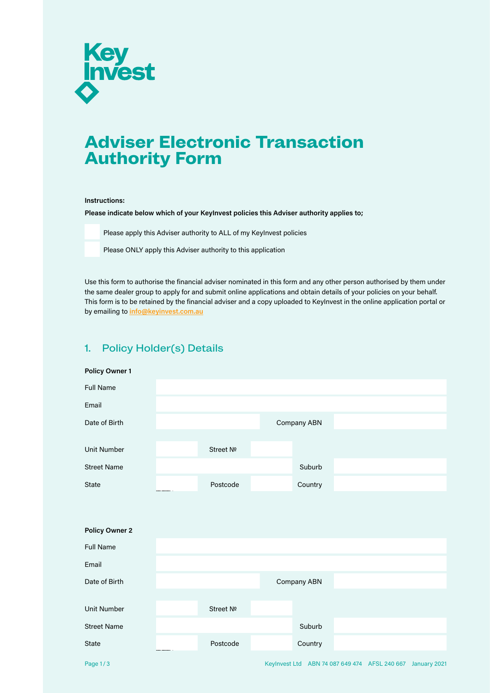

# **Adviser Electronic Transaction Authority Form**

#### **Instructions:**

**Please indicate below which of your KeyInvest policies this Adviser authority applies to;**

Please apply this Adviser authority to ALL of my KeyInvest policies

Please ONLY apply this Adviser authority to this application

Use this form to authorise the financial adviser nominated in this form and any other person authorised by them under the same dealer group to apply for and submit online applications and obtain details of your policies on your behalf. This form is to be retained by the financial adviser and a copy uploaded to KeyInvest in the online application portal or by emailing to **[info@keyinvest.com.au](mailto:info@keyinvest.com.au)**

## 1. Policy Holder(s) Details

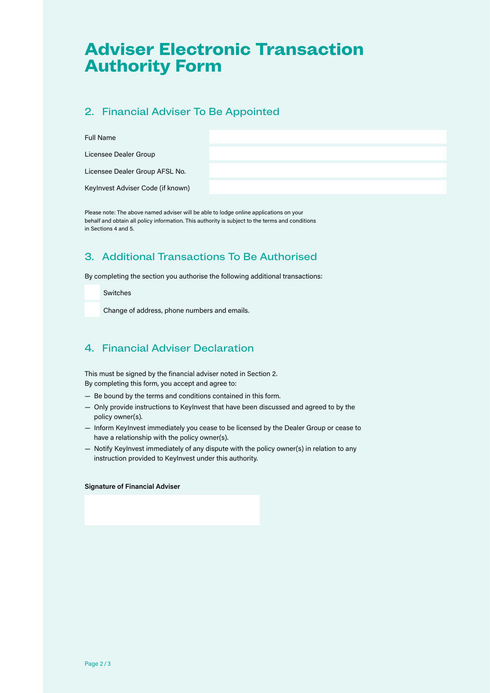# **Adviser Electronic Transaction Authority Form**

## 2. Financial Adviser To Be Appointed

### Full Name

Licensee Dealer Group

Licensee Dealer Group AFSL No.

KeyInvest Adviser Code (if known)

Please note: The above named adviser will be able to lodge online applications on your behalf and obtain all policy information. This authority is subject to the terms and conditions in Sections 4 and 5.

# 3. Additional Transactions To Be Authorised

By completing the section you authorise the following additional transactions:

Switches

Change of address, phone numbers and emails.

## 4. Financial Adviser Declaration

This must be signed by the financial adviser noted in Section 2. By completing this form, you accept and agree to:

- Be bound by the terms and conditions contained in this form.
- Only provide instructions to KeyInvest that have been discussed and agreed to by the policy owner(s).
- Inform KeyInvest immediately you cease to be licensed by the Dealer Group or cease to have a relationship with the policy owner(s).
- Notify KeyInvest immediately of any dispute with the policy owner(s) in relation to any instruction provided to KeyInvest under this authority.

**Signature of Financial Adviser**